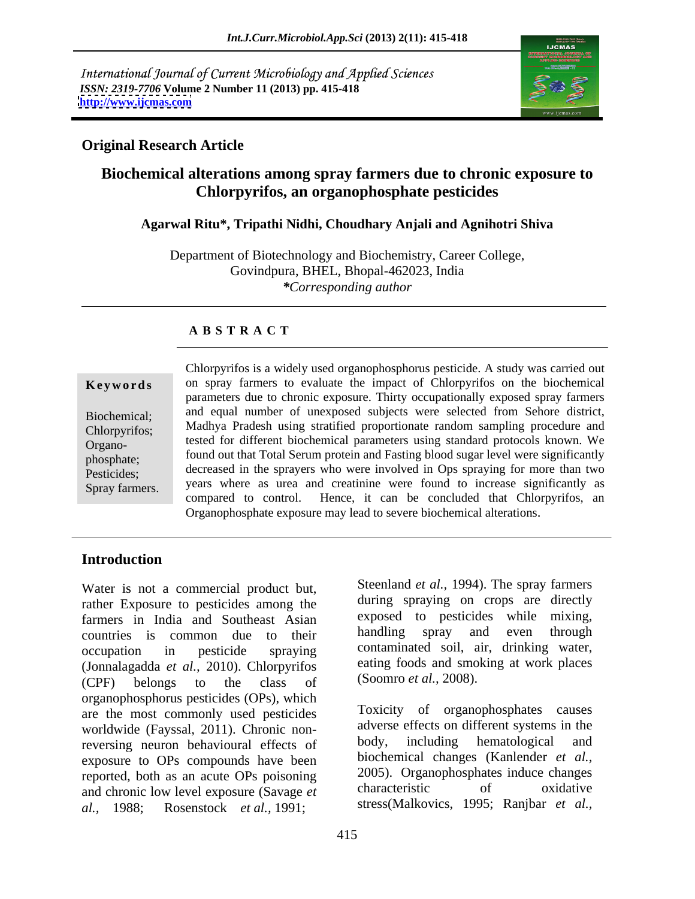International Journal of Current Microbiology and Applied Sciences *ISSN: 2319-7706* **Volume 2 Number 11 (2013) pp. 415-418 <http://www.ijcmas.com>**



# **Original Research Article**

# **Biochemical alterations among spray farmers due to chronic exposure to Chlorpyrifos, an organophosphate pesticides**

## **Agarwal Ritu\*, Tripathi Nidhi, Choudhary Anjali and Agnihotri Shiva**

Department of Biotechnology and Biochemistry, Career College, Govindpura, BHEL, Bhopal-462023, India *\*Corresponding author*

# **A B S T R A C T**

**Keywords** on spray farmers to evaluate the impact of Chlorpyrifos on the biochemical Biochemical; and equal number of unexposed subjects were selected from Sehore district, Chlorpyrifos; Madhya Pradesh using stratified proportionate random sampling procedure and Organo-<br>Organo-<br> $\frac{1}{2}$  tested for different biochemical parameters using standard protocols known. We phosphate; found out that Total Serum protein and Fasting blood sugar level were significantly Pesticides; decreased in the sprayers who were involved in Ops spraying for more than two Spray farmers. years where as urea and creatinine were found to increase significantly as Chlorpyrifos is a widely used organophosphorus pesticide. A study was carried out parameters due to chronic exposure. Thirty occupationally exposed spray farmers compared to control. Hence, it can be concluded that Chlorpyrifos, an Organophosphate exposure may lead to severe biochemical alterations.

### **Introduction**

Water is not a commercial product but, rather Exposure to pesticides among the farmers in India and Southeast Asian<br>countries is common due to their handling spray and even through countries is common due to their occupation in pesticide spraying contaminated soil, air, drinking water, (Jonnalagadda *et al.,* 2010). Chlorpyrifos (CPF) belongs to the class of  $(Soomro et al., 2008)$ . organophosphorus pesticides (OPs), which are the most commonly used pesticides worldwide (Fayssal, 2011). Chronic non-<br>reversing neuron behavioural effects of body, including hematological and reversing neuron behavioural effects of exposure to OPs compounds have been reported, both as an acute OPs poisoning 2005). Organophosphates induce changes<br>and chronic low layel exposure (Savage et characteristic of oxidative and chronic low level exposure (Savage *et al.,* 1988; Rosenstock *et al.,* 1991; stress(Malkovics, 1995; Ranjbar *et al.,*

Steenland *et al.,* 1994). The spray farmers during spraying on crops are directly exposed to pesticides while mixing, handling spray and even through contaminated soil, air, drinking water, eating foods and smoking at work places (Soomro *et al.,* 2008).

Toxicity of organophosphates causes adverse effects on different systems in the body, including hematological and biochemical changes (Kanlender *et al.,* 2005). Organophosphates induce changes characteristic of oxidative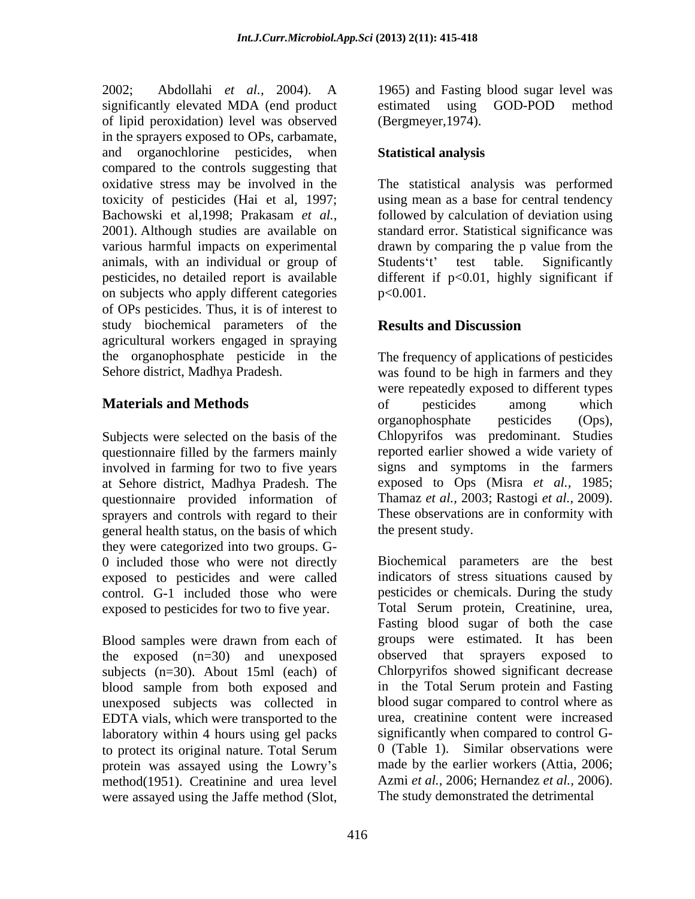2002; Abdollahi *et al.,* 2004). A 1965) and Fasting blood sugar level was significantly elevated MDA (end product estimated using GOD-POD method of lipid peroxidation) level was observed in the sprayers exposed to OPs, carbamate, and organochlorine pesticides, when **Statistical analysis** compared to the controls suggesting that oxidative stress may be involved in the The statistical analysis was performed toxicity of pesticides (Hai et al, 1997; using mean as a base for central tendency Bachowski et al,1998; Prakasam *et al.,* followed by calculation of deviation using 2001). Although studies are available on standard error. Statistical significance was various harmful impacts on experimental drawn by comparing the p value from the animals, with an individual or group of Students't' test table. Significantly pesticides, no detailed report is available different if p<0.01, highly significant if on subjects who apply different categories  $p<0.001$ . of OPs pesticides. Thus, it is of interest to study biochemical parameters of the **Results and Discussion** agricultural workers engaged in spraying the organophosphate pesticide in the The frequency of applications of pesticides

Subjects were selected on the basis of the Chlopyrifos was predominant. Studies questionnaire filled by the farmers mainly involved in farming for two to five years at Sehore district, Madhya Pradesh. The questionnaire provided information of Thamaz et al., 2003; Rastogi et al., 2009).<br>sprayers and controls with regard to their These observations are in conformity with sprayers and controls with regard to their general health status, on the basis of which they were categorized into two groups. G- 0 included those who were not directly exposed to pesticides and were called control. G-1 included those who were

the exposed (n=30) and unexposed observed that sprayers exposed to subjects (n=30). About 15ml (each) of blood sample from both exposed and unexposed subjects was collected in EDTA vials, which were transported to the laboratory within 4 hours using gel packs protein was assayed using the Lowry's method(1951). Creatinine and urea level Azmi *et al.*, 2006; Hernandez *et al.*, 200 were assaved using the Jaffe method (Slot. The study demonstrated the detrimental were assayed using the Jaffe method (Slot,

estimated using GOD-POD method (Bergmeyer,1974).

# **Statistical analysis**

Students't' test table. Significantly  $p<0.001$ .

# **Results and Discussion**

Sehore district, Madhya Pradesh. was found to be high in farmers and they **Materials and Methods** of pesticides among which were repeatedly exposed to different types of pesticides among which organophosphate pesticides (Ops), Chlopyrifos was predominant. Studies reported earlier showed a wide variety of signs and symptoms in the farmers exposed to Ops (Misra *et al.,* 1985; Thamaz *et al.,* 2003; Rastogi *et al.,* 2009). These observations are in conformity with the present study.

exposed to pesticides for two to five year. Total Serum protein, Creatinine, urea,<br>Fasting blood sugar of both the case<br>Blood samples were drawn from each of groups were estimated. It has been to protect its original nature. Total Serum  $\qquad 0$  (Table 1). Similar observations were Biochemical parameters are the best indicators of stress situations caused by pesticides or chemicals. During the study Total Serum protein, Creatinine, urea, Fasting blood sugar of both the case groups were estimated. It has been observed that sprayers exposed to Chlorpyrifos showed significant decrease in the Total Serum protein and Fasting blood sugar compared to control where as urea, creatinine content were increased significantly when compared to control G- 0 (Table 1). Similar observations were made by the earlier workers (Attia, 2006; Azmi *et al.*, 2006; Hernandez *et al.*, 2006).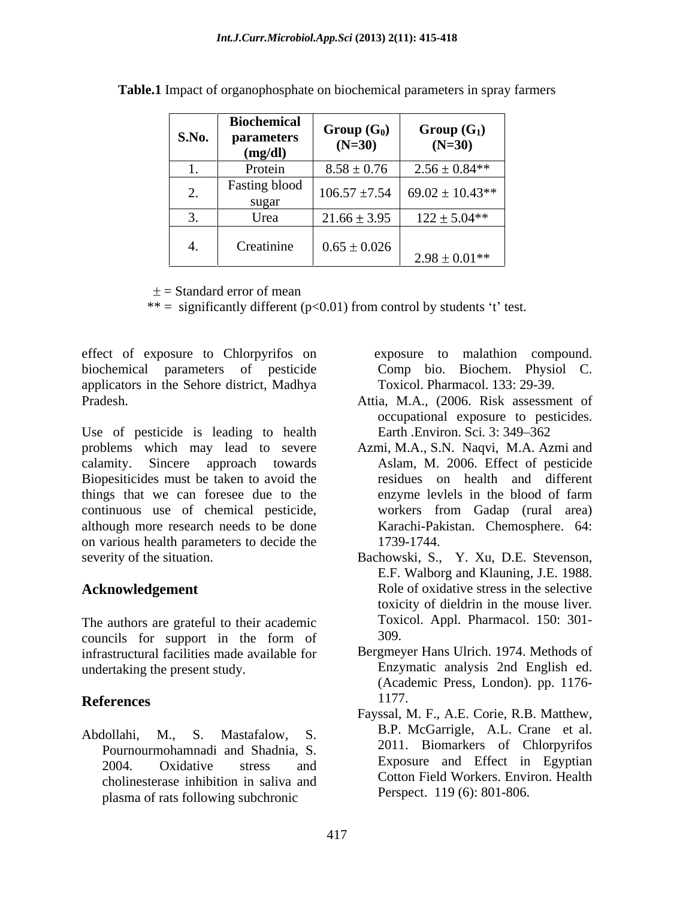| <b>S.No.</b>             | <b>Biochemical</b><br><b>parameters</b><br>(mg/dl) | $Group(G_0)$<br>$(N=30)$ | $Group(G_1)$<br>$(N=30)$                |
|--------------------------|----------------------------------------------------|--------------------------|-----------------------------------------|
|                          | Protein                                            | $8.58 \pm 0.76$          | $2.56 \pm 0.84**$                       |
| $\overline{\phantom{a}}$ | <b>Fasting blood</b><br>sugar                      |                          | $106.57 \pm 7.54$   69.02 $\pm$ 10.43** |
| ັບ•                      | Urea                                               | $21.66 \pm 3.95$         | $122 \pm 5.04**$                        |
| Ч.                       | Creatinine                                         | $0.65 \pm 0.026$         | $2.98 \pm 0.01$ **                      |

**Table.1** Impact of organophosphate on biochemical parameters in spray farmers

 $\pm$  = Standard error of mean

\*\* = significantly different ( $p<0.01$ ) from control by students 't' test.

effect of exposure to Chlorpyrifos on biochemical parameters of pesticide applicators in the Sehore district, Madhya Pradesh. Attia, M.A., (2006. Risk assessment of

Use of pesticide is leading to health Biopesiticides must be taken to avoid the things that we can foresee due to the enzyme levels in the blood of farm continuous use of chemical pesticide, although more research needs to be done on various health parameters to decide the 1739-1744. severity of the situation.

The authors are grateful to their academic<br>councils for support in the form of 309. councils for support in the form of  $309$ . infrastructural facilities made available for Bergmeyer Hans Ulrich. 1974. Methods of undertaking the present study.

cholinesterase inhibition in saliva and plasma of rats following subchronic

 exposure to malathion compound. Comp bio. Biochem. Physiol C.

- Toxicol. Pharmacol. 133: 29-39. Attia, M.A., (2006. Risk assessment of occupational exposure to pesticides. Earth .Environ. Sci. 3: 349–362
- problems which may lead to severe Azmi, M.A., S.N. Naqvi, M.A. Azmi and calamity. Sincere approach towards Aslam, M. 2006. Effect of pesticide residues on health and different enzyme levlels in the blood of farm workers from Gadap (rural area) Karachi-Pakistan. Chemosphere. 64: 1739-1744.
- Acknowledgement Role of oxidative stress in the selective Bachowski, S., Y. Xu, D.E. Stevenson, E.F. Walborg and Klauning, J.E. 1988. toxicity of dieldrin in the mouse liver*.* Toxicol. Appl. Pharmacol. 150: 301-
- **References** 1177. 309. Bergmeyer Hans Ulrich. 1974. Methods of Enzymatic analysis 2nd English ed. (Academic Press, London). pp. 1176- 1177.
- Abdollahi, M., S. Mastafalow, S. B.P. McGarrigle, A.L. Crane et al.<br>
Pour purpour polynodial and Shodnia S. 2011. Biomarkers of Chlorpyrifos Pournourmohamnadi and Shadnia, S.<br>2004. Oxidative stress and Exposure and Effect in Egyptian Fayssal, M. F., A.E. Corie, R.B. Matthew, B.P. McGarrigle, A.L. Crane et al. 2011. Biomarkers of Chlorpyrifos Exposure and Effect in Egyptian Cotton Field Workers. Environ. Health Perspect. 119 (6): 801-806.